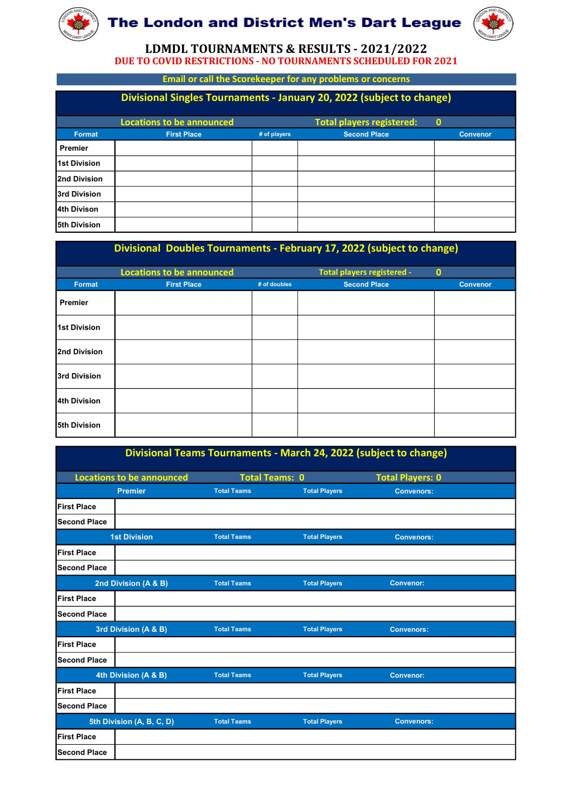



|                     | The London and District Men's Dart League                              |              |                                                                   |                 |
|---------------------|------------------------------------------------------------------------|--------------|-------------------------------------------------------------------|-----------------|
|                     | <b>DUE TO COVID RESTRICTIONS - NO TOURNAMENTS SCHEDULED FOR 2021</b>   |              | LDMDL TOURNAMENTS & RESULTS - 2021/2022                           |                 |
|                     |                                                                        |              | <b>Email or call the Scorekeeper for any problems or concerns</b> |                 |
|                     | Divisional Singles Tournaments - January 20, 2022 (subject to change)  |              |                                                                   |                 |
|                     | <b>Locations to be announced</b>                                       |              | <b>Total players registered:</b>                                  | $\mathbf{0}$    |
| Format              | <b>First Place</b>                                                     | # of players | <b>Second Place</b>                                               | <b>Convenor</b> |
| Premier             |                                                                        |              |                                                                   |                 |
| <b>1st Division</b> |                                                                        |              |                                                                   |                 |
| 2nd Division        |                                                                        |              |                                                                   |                 |
| 3rd Division        |                                                                        |              |                                                                   |                 |
| l4th Divison        |                                                                        |              |                                                                   |                 |
| 5th Division        |                                                                        |              |                                                                   |                 |
|                     | Divisional Doubles Tournaments - February 17, 2022 (subject to change) |              |                                                                   |                 |
|                     | <b>Locations to be announced</b>                                       |              | Total players registered -                                        | $\mathbf{0}$    |
| Format              | <b>First Place</b>                                                     | # of doubles | <b>Second Place</b>                                               | <b>Convenor</b> |
| Premier             |                                                                        |              |                                                                   |                 |
|                     |                                                                        |              |                                                                   |                 |
| <b>1st Division</b> |                                                                        |              |                                                                   |                 |

|                     | <b>Locations to be announced</b> | Divisional Doubles Tournaments - February 17, 2022 (subject to change) |                      | Total players registered - | $\bullet$       |
|---------------------|----------------------------------|------------------------------------------------------------------------|----------------------|----------------------------|-----------------|
| <b>Format</b>       | <b>First Place</b>               | # of doubles                                                           |                      | <b>Second Place</b>        | <b>Convenor</b> |
| <b>Premier</b>      |                                  |                                                                        |                      |                            |                 |
| <b>1st Division</b> |                                  |                                                                        |                      |                            |                 |
| 2nd Division        |                                  |                                                                        |                      |                            |                 |
| 3rd Division        |                                  |                                                                        |                      |                            |                 |
| 4th Division        |                                  |                                                                        |                      |                            |                 |
| 5th Division        |                                  |                                                                        |                      |                            |                 |
|                     |                                  | Divisional Teams Tournaments - March 24, 2022 (subject to change)      |                      |                            |                 |
|                     | <b>Locations to be announced</b> | <b>Total Teams: 0</b>                                                  |                      | <b>Total Players: 0</b>    |                 |
|                     | <b>Premier</b>                   | <b>Total Teams</b>                                                     | <b>Total Players</b> | <b>Convenors:</b>          |                 |
| <b>First Place</b>  |                                  |                                                                        |                      |                            |                 |
| <b>Second Place</b> |                                  |                                                                        |                      |                            |                 |
|                     | <b>1st Division</b>              | <b>Total Teams</b>                                                     | <b>Total Players</b> | <b>Convenors:</b>          |                 |
| <b>First Place</b>  |                                  |                                                                        |                      |                            |                 |
| <b>Second Place</b> |                                  |                                                                        |                      |                            |                 |
|                     | 2nd Division (A & B)             | <b>Total Teams</b>                                                     | <b>Total Players</b> | <b>Convenor:</b>           |                 |
| Eiret Bloop         |                                  |                                                                        |                      |                            |                 |

| 2nd Division        |                                                                   |                       |                      |                         |  |  |
|---------------------|-------------------------------------------------------------------|-----------------------|----------------------|-------------------------|--|--|
| 3rd Division        |                                                                   |                       |                      |                         |  |  |
| 4th Division        |                                                                   |                       |                      |                         |  |  |
| 5th Division        |                                                                   |                       |                      |                         |  |  |
|                     | Divisional Teams Tournaments - March 24, 2022 (subject to change) |                       |                      |                         |  |  |
|                     | <b>Locations to be announced</b>                                  | <b>Total Teams: 0</b> |                      | <b>Total Players: 0</b> |  |  |
|                     | <b>Premier</b>                                                    | <b>Total Teams</b>    | <b>Total Players</b> | <b>Convenors:</b>       |  |  |
| <b>IFirst Place</b> |                                                                   |                       |                      |                         |  |  |
| <b>Second Place</b> |                                                                   |                       |                      |                         |  |  |
|                     | <b>1st Division</b>                                               | <b>Total Teams</b>    | <b>Total Players</b> | <b>Convenors:</b>       |  |  |
| <b>First Place</b>  |                                                                   |                       |                      |                         |  |  |
| <b>Second Place</b> |                                                                   |                       |                      |                         |  |  |
|                     | 2nd Division (A & B)                                              | <b>Total Teams</b>    | <b>Total Players</b> | <b>Convenor:</b>        |  |  |
| <b>First Place</b>  |                                                                   |                       |                      |                         |  |  |
| <b>Second Place</b> |                                                                   |                       |                      |                         |  |  |
|                     | 3rd Division (A & B)                                              | <b>Total Teams</b>    | <b>Total Players</b> | <b>Convenors:</b>       |  |  |
| <b>First Place</b>  |                                                                   |                       |                      |                         |  |  |
| <b>Second Place</b> |                                                                   |                       |                      |                         |  |  |
|                     | 4th Division (A & B)                                              | <b>Total Teams</b>    | <b>Total Players</b> | <b>Convenor:</b>        |  |  |
| <b>First Place</b>  |                                                                   |                       |                      |                         |  |  |
| <b>Second Place</b> |                                                                   |                       |                      |                         |  |  |
|                     | 5th Division (A, B, C, D)                                         | <b>Total Teams</b>    | <b>Total Players</b> | <b>Convenors:</b>       |  |  |
| <b>First Place</b>  |                                                                   |                       |                      |                         |  |  |
| <b>Second Place</b> |                                                                   |                       |                      |                         |  |  |